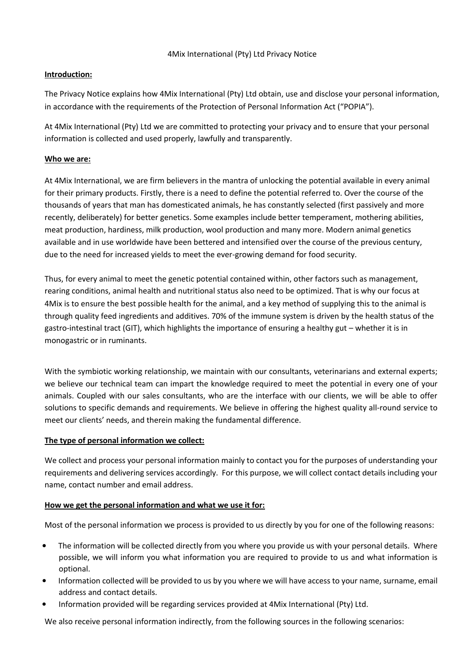# **Introduction:**

The Privacy Notice explains how 4Mix International (Pty) Ltd obtain, use and disclose your personal information, in accordance with the requirements of the Protection of Personal Information Act ("POPIA").

At 4Mix International (Pty) Ltd we are committed to protecting your privacy and to ensure that your personal information is collected and used properly, lawfully and transparently.

# **Who we are:**

At 4Mix International, we are firm believers in the mantra of unlocking the potential available in every animal for their primary products. Firstly, there is a need to define the potential referred to. Over the course of the thousands of years that man has domesticated animals, he has constantly selected (first passively and more recently, deliberately) for better genetics. Some examples include better temperament, mothering abilities, meat production, hardiness, milk production, wool production and many more. Modern animal genetics available and in use worldwide have been bettered and intensified over the course of the previous century, due to the need for increased yields to meet the ever-growing demand for food security.

Thus, for every animal to meet the genetic potential contained within, other factors such as management, rearing conditions, animal health and nutritional status also need to be optimized. That is why our focus at 4Mix is to ensure the best possible health for the animal, and a key method of supplying this to the animal is through quality feed ingredients and additives. 70% of the immune system is driven by the health status of the gastro-intestinal tract (GIT), which highlights the importance of ensuring a healthy gut – whether it is in monogastric or in ruminants.

With the symbiotic working relationship, we maintain with our consultants, veterinarians and external experts; we believe our technical team can impart the knowledge required to meet the potential in every one of your animals. Coupled with our sales consultants, who are the interface with our clients, we will be able to offer solutions to specific demands and requirements. We believe in offering the highest quality all-round service to meet our clients' needs, and therein making the fundamental difference.

# **The type of personal information we collect:**

We collect and process your personal information mainly to contact you for the purposes of understanding your requirements and delivering services accordingly. For this purpose, we will collect contact details including your name, contact number and email address.

## **How we get the personal information and what we use it for:**

Most of the personal information we process is provided to us directly by you for one of the following reasons:

- The information will be collected directly from you where you provide us with your personal details. Where possible, we will inform you what information you are required to provide to us and what information is optional.
- Information collected will be provided to us by you where we will have access to your name, surname, email address and contact details.
- Information provided will be regarding services provided at 4Mix International (Pty) Ltd.

We also receive personal information indirectly, from the following sources in the following scenarios: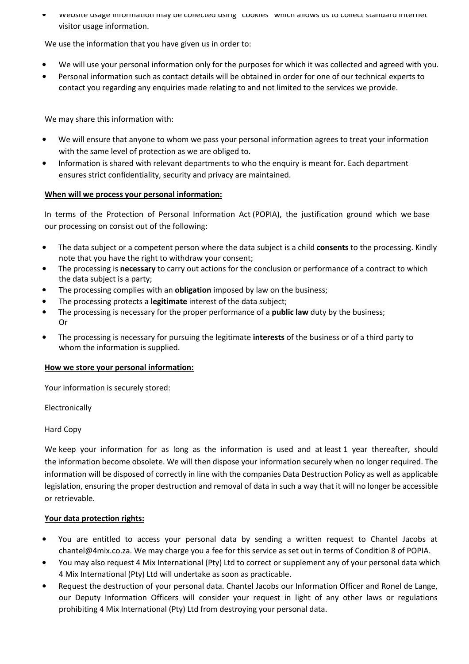• Website usage information may be collected using "cookies" which allows us to collect standard internet visitor usage information.

We use the information that you have given us in order to:

- We will use your personal information only for the purposes for which it was collected and agreed with you.
- Personal information such as contact details will be obtained in order for one of our technical experts to contact you regarding any enquiries made relating to and not limited to the services we provide.

We may share this information with:

- We will ensure that anyone to whom we pass your personal information agrees to treat your information with the same level of protection as we are obliged to.
- Information is shared with relevant departments to who the enquiry is meant for. Each department ensures strict confidentiality, security and privacy are maintained.

## **When will we process your personal information:**

In terms of the Protection of Personal Information Act (POPIA), the justification ground which we base our processing on consist out of the following:

- The data subject or a competent person where the data subject is a child **consents** to the processing. Kindly note that you have the right to withdraw your consent;
- The processing is **necessary** to carry out actions for the conclusion or performance of a contract to which the data subject is a party;
- The processing complies with an **obligation** imposed by law on the business;
- The processing protects a **legitimate** interest of the data subject;
- The processing is necessary for the proper performance of a **public law** duty by the business; Or
- The processing is necessary for pursuing the legitimate **interests** of the business or of a third party to whom the information is supplied.

## **How we store your personal information:**

Your information is securely stored:

Electronically

## Hard Copy

We keep your information for as long as the information is used and at least 1 year thereafter, should the information become obsolete. We will then dispose your information securely when no longer required. The information will be disposed of correctly in line with the companies Data Destruction Policy as well as applicable legislation, ensuring the proper destruction and removal of data in such a way that it will no longer be accessible or retrievable.

## **Your data protection rights:**

- You are entitled to access your personal data by sending a written request to Chantel Jacobs at chantel@4mix.co.za. We may charge you a fee for this service as set out in terms of Condition 8 of POPIA.
- You may also request 4 Mix International (Pty) Ltd to correct or supplement any of your personal data which 4 Mix International (Pty) Ltd will undertake as soon as practicable.
- Request the destruction of your personal data. Chantel Jacobs our Information Officer and Ronel de Lange, our Deputy Information Officers will consider your request in light of any other laws or regulations prohibiting 4 Mix International (Pty) Ltd from destroying your personal data.